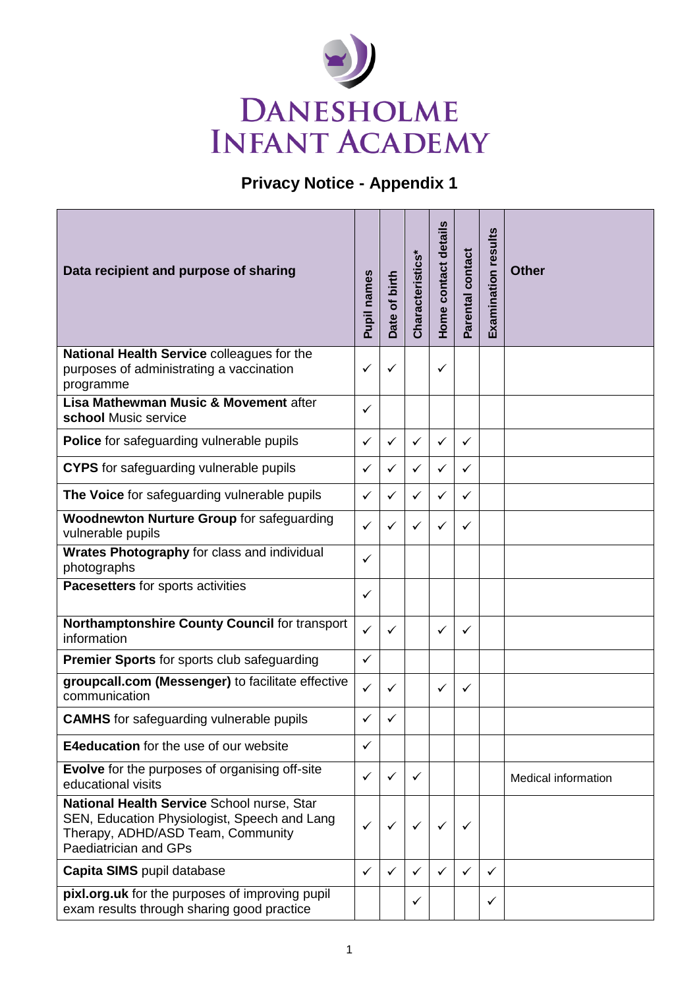

## **Privacy Notice - Appendix 1**

| Data recipient and purpose of sharing                                                                                                                    | Pupil names  | Date of birth | Characteristics* | Home contact details | Parental contact | Examination results | <b>Other</b>               |
|----------------------------------------------------------------------------------------------------------------------------------------------------------|--------------|---------------|------------------|----------------------|------------------|---------------------|----------------------------|
| National Health Service colleagues for the<br>purposes of administrating a vaccination<br>programme                                                      | ✓            | ✓             |                  | $\checkmark$         |                  |                     |                            |
| Lisa Mathewman Music & Movement after<br>school Music service                                                                                            | ✓            |               |                  |                      |                  |                     |                            |
| <b>Police</b> for safeguarding vulnerable pupils                                                                                                         | ✓            | ✓             | ✓                | ✓                    | ✓                |                     |                            |
| <b>CYPS</b> for safeguarding vulnerable pupils                                                                                                           | ✓            | $\checkmark$  | ✓                | ✓                    | ✓                |                     |                            |
| The Voice for safeguarding vulnerable pupils                                                                                                             | ✓            | ✓             | ✓                | ✓                    | ✓                |                     |                            |
| <b>Woodnewton Nurture Group for safeguarding</b><br>vulnerable pupils                                                                                    | ✓            | ✓             | ✓                | ✓                    | ✓                |                     |                            |
| Wrates Photography for class and individual<br>photographs                                                                                               | ✓            |               |                  |                      |                  |                     |                            |
| Pacesetters for sports activities                                                                                                                        | ✓            |               |                  |                      |                  |                     |                            |
| Northamptonshire County Council for transport<br>information                                                                                             | $\checkmark$ | $\checkmark$  |                  | ✓                    | ✓                |                     |                            |
| <b>Premier Sports</b> for sports club safeguarding                                                                                                       | $\checkmark$ |               |                  |                      |                  |                     |                            |
| groupcall.com (Messenger) to facilitate effective<br>communication                                                                                       | $\checkmark$ | ✓             |                  | ✓                    | ✓                |                     |                            |
| <b>CAMHS</b> for safeguarding vulnerable pupils                                                                                                          | ✓            | $\checkmark$  |                  |                      |                  |                     |                            |
| <b>E4education</b> for the use of our website                                                                                                            | ✓            |               |                  |                      |                  |                     |                            |
| <b>Evolve</b> for the purposes of organising off-site<br>educational visits                                                                              | ✓            | ✓             | ✓                |                      |                  |                     | <b>Medical information</b> |
| National Health Service School nurse, Star<br>SEN, Education Physiologist, Speech and Lang<br>Therapy, ADHD/ASD Team, Community<br>Paediatrician and GPs | ✓            | ✓             | ✓                | ✓                    | ✓                |                     |                            |
| Capita SIMS pupil database                                                                                                                               | $\checkmark$ | ✓             | ✓                | ✓                    | ✓                | $\checkmark$        |                            |
| pixl.org.uk for the purposes of improving pupil<br>exam results through sharing good practice                                                            |              |               | ✓                |                      |                  | ✓                   |                            |